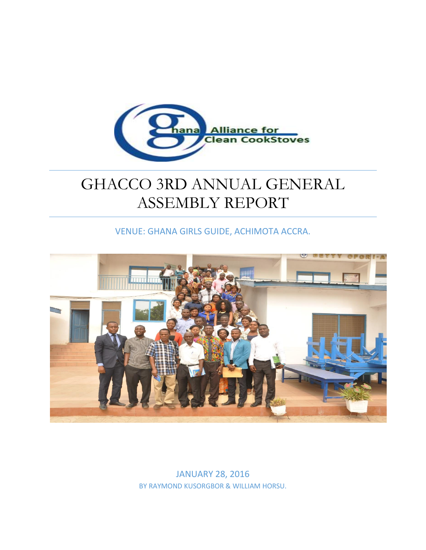

# GHACCO 3RD ANNUAL GENERAL ASSEMBLY REPORT

VENUE: GHANA GIRLS GUIDE, ACHIMOTA ACCRA.



JANUARY 28, 2016 BY RAYMOND KUSORGBOR & WILLIAM HORSU.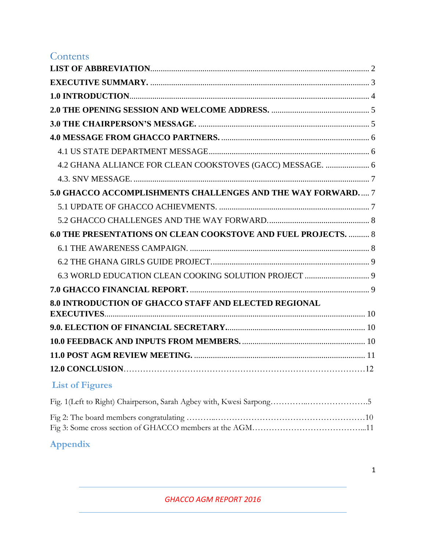# **Contents**

| 4.2 GHANA ALLIANCE FOR CLEAN COOKSTOVES (GACC) MESSAGE.  6     |  |
|----------------------------------------------------------------|--|
|                                                                |  |
| 5.0 GHACCO ACCOMPLISHMENTS CHALLENGES AND THE WAY FORWARD 7    |  |
|                                                                |  |
|                                                                |  |
| 6.0 THE PRESENTATIONS ON CLEAN COOKSTOVE AND FUEL PROJECTS.  8 |  |
|                                                                |  |
|                                                                |  |
|                                                                |  |
|                                                                |  |
| 8.0 INTRODUCTION OF GHACCO STAFF AND ELECTED REGIONAL          |  |
|                                                                |  |
|                                                                |  |
|                                                                |  |
|                                                                |  |
|                                                                |  |
| <b>List of Figures</b>                                         |  |
|                                                                |  |
|                                                                |  |
|                                                                |  |

**Appendix**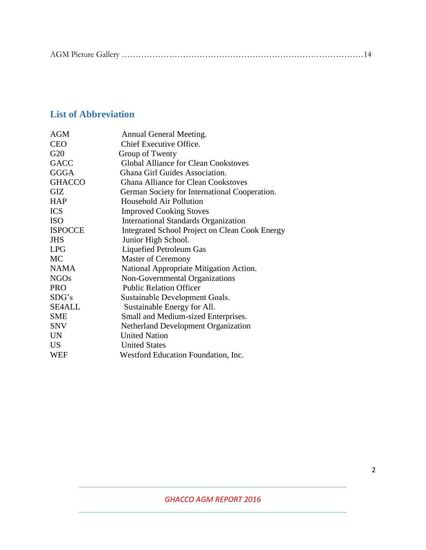|--|

## <span id="page-2-0"></span>**List of Abbreviation**

| <b>AGM</b>     | Annual General Meeting.                               |
|----------------|-------------------------------------------------------|
| <b>CEO</b>     | <b>Chief Executive Office.</b>                        |
| G20            | Group of Twenty                                       |
| <b>GACC</b>    | <b>Global Alliance for Clean Cookstoves</b>           |
| <b>GGGA</b>    | Ghana Girl Guides Association.                        |
| <b>GHACCO</b>  | <b>Ghana Alliance for Clean Cookstoves</b>            |
| <b>GIZ</b>     | German Society for International Cooperation.         |
| <b>HAP</b>     | Household Air Pollution                               |
| <b>ICS</b>     | <b>Improved Cooking Stoves</b>                        |
| <b>ISO</b>     | <b>International Standards Organization</b>           |
| <b>ISPOCCE</b> | <b>Integrated School Project on Clean Cook Energy</b> |
| <b>JHS</b>     | Junior High School.                                   |
| <b>LPG</b>     | Liquefied Petroleum Gas                               |
| <b>MC</b>      | <b>Master of Ceremony</b>                             |
| <b>NAMA</b>    | National Appropriate Mitigation Action.               |
| <b>NGOs</b>    | Non-Governmental Organizations                        |
| <b>PRO</b>     | <b>Public Relation Officer</b>                        |
| SDG's          | Sustainable Development Goals.                        |
| <b>SE4ALL</b>  | Sustainable Energy for All.                           |
| <b>SME</b>     | Small and Medium-sized Enterprises.                   |
| <b>SNV</b>     | <b>Netherland Development Organization</b>            |
| <b>UN</b>      | <b>United Nation</b>                                  |
| <b>US</b>      | <b>United States</b>                                  |
| WEF            | Westford Education Foundation, Inc.                   |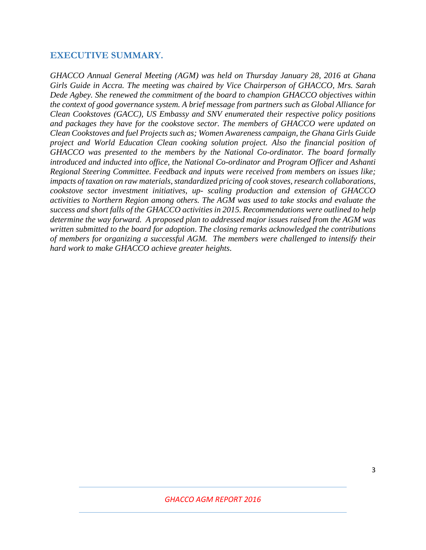#### <span id="page-3-0"></span>**EXECUTIVE SUMMARY.**

<span id="page-3-1"></span>*GHACCO Annual General Meeting (AGM) was held on Thursday January 28, 2016 at Ghana Girls Guide in Accra. The meeting was chaired by Vice Chairperson of GHACCO, Mrs. Sarah Dede Agbey. She renewed the commitment of the board to champion GHACCO objectives within the context of good governance system. A brief message from partners such as Global Alliance for Clean Cookstoves (GACC), US Embassy and SNV enumerated their respective policy positions and packages they have for the cookstove sector. The members of GHACCO were updated on Clean Cookstoves and fuel Projects such as; Women Awareness campaign, the Ghana Girls Guide project and World Education Clean cooking solution project. Also the financial position of GHACCO was presented to the members by the National Co-ordinator. The board formally introduced and inducted into office, the National Co-ordinator and Program Officer and Ashanti Regional Steering Committee. Feedback and inputs were received from members on issues like; impacts of taxation on raw materials, standardized pricing of cook stoves, research collaborations, cookstove sector investment initiatives, up- scaling production and extension of GHACCO activities to Northern Region among others. The AGM was used to take stocks and evaluate the success and short falls of the GHACCO activities in 2015. Recommendations were outlined to help determine the way forward. A proposed plan to addressed major issues raised from the AGM was written submitted to the board for adoption*. *The closing remarks acknowledged the contributions of members for organizing a successful AGM. The members were challenged to intensify their hard work to make GHACCO achieve greater heights.*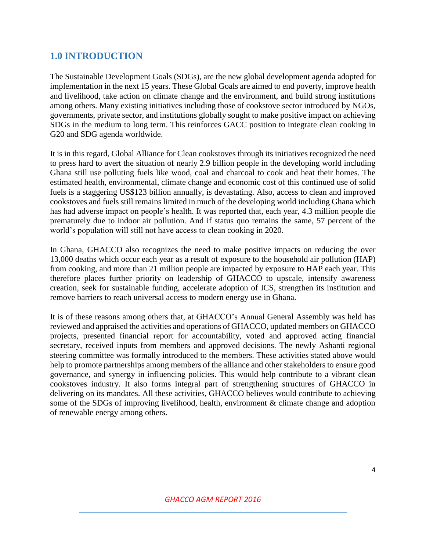## **1.0 INTRODUCTION**

The [Sustainable Development Goals](http://www.undp.org/content/undp/en/home/mdgoverview/post-2015-development-agenda/) (SDGs), are the new global development agenda adopted for implementation in the next 15 years. These Global Goals are aimed to end poverty, improve health and livelihood, take action on climate change and the environment, and build strong institutions among others. Many existing initiatives including those of cookstove sector introduced by NGOs, governments, private sector, and institutions globally sought to make positive impact on achieving SDGs in the medium to long term. This reinforces GACC position to integrate clean cooking in G20 and SDG agenda worldwide.

It is in this regard, Global Alliance for Clean cookstoves through its initiatives recognized the need to press hard to avert the situation of nearly 2.9 billion people in the developing world including Ghana still use polluting fuels like wood, coal and charcoal to cook and heat their homes. The estimated health, environmental, climate change and economic cost of this continued use of solid fuels is a staggering US\$123 billion annually, is devastating. Also, access to clean and improved cookstoves and fuels still remains limited in much of the developing world including Ghana which has had adverse impact on people's health. It was reported that, each year, 4.3 million people die prematurely due to indoor air pollution. And if status quo remains the same, 57 percent of the world's population will still not have access to clean cooking in 2020.

In Ghana, GHACCO also recognizes the need to make positive impacts on reducing the over 13,000 deaths which occur each year as a result of exposure to the household air pollution (HAP) from cooking, and more than 21 million people are impacted by exposure to HAP each year. This therefore places further priority on leadership of GHACCO to upscale, intensify awareness creation, seek for sustainable funding, accelerate adoption of ICS, strengthen its institution and remove barriers to reach universal access to modern energy use in Ghana.

It is of these reasons among others that, at GHACCO's Annual General Assembly was held has reviewed and appraised the activities and operations of GHACCO, updated members on GHACCO projects, presented financial report for accountability, voted and approved acting financial secretary, received inputs from members and approved decisions. The newly Ashanti regional steering committee was formally introduced to the members. These activities stated above would help to promote partnerships among members of the alliance and other stakeholders to ensure good governance, and synergy in influencing policies. This would help contribute to a vibrant clean cookstoves industry. It also forms integral part of strengthening structures of GHACCO in delivering on its mandates. All these activities, GHACCO believes would contribute to achieving some of the SDGs of improving livelihood, health, environment & climate change and adoption of renewable energy among others.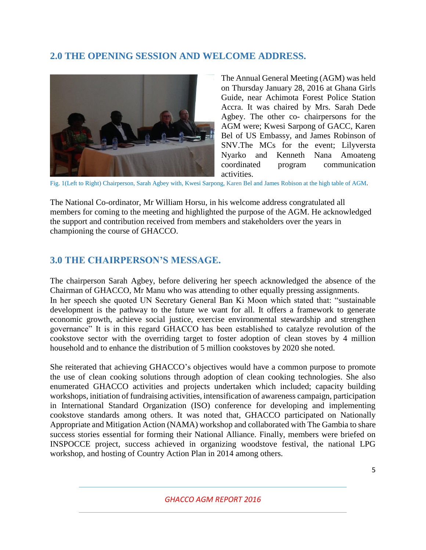## <span id="page-5-0"></span>**2.0 THE OPENING SESSION AND WELCOME ADDRESS.**



The Annual General Meeting (AGM) was held on Thursday January 28, 2016 at Ghana Girls Guide, near Achimota Forest Police Station Accra. It was chaired by Mrs. Sarah Dede Agbey. The other co- chairpersons for the AGM were; Kwesi Sarpong of GACC, Karen Bel of US Embassy, and James Robinson of SNV.The MCs for the event; Lilyversta Nyarko and Kenneth Nana Amoateng coordinated program communication activities.

Fig. 1(Left to Right) Chairperson, Sarah Agbey with, Kwesi Sarpong, Karen Bel and James Robison at the high table of AGM.

The National Co-ordinator, Mr William Horsu, in his welcome address congratulated all members for coming to the meeting and highlighted the purpose of the AGM. He acknowledged the support and contribution received from members and stakeholders over the years in championing the course of GHACCO.

## <span id="page-5-1"></span>**3.0 THE CHAIRPERSON'S MESSAGE.**

The chairperson Sarah Agbey, before delivering her speech acknowledged the absence of the Chairman of GHACCO, Mr Manu who was attending to other equally pressing assignments. In her speech she quoted UN Secretary General Ban Ki Moon which stated that: "sustainable development is the pathway to the future we want for all. It offers a framework to generate economic growth, achieve social justice, exercise environmental stewardship and strengthen governance" It is in this regard GHACCO has been established to catalyze revolution of the cookstove sector with the overriding target to foster adoption of clean stoves by 4 million household and to enhance the distribution of 5 million cookstoves by 2020 she noted.

She reiterated that achieving GHACCO's objectives would have a common purpose to promote the use of clean cooking solutions through adoption of clean cooking technologies. She also enumerated GHACCO activities and projects undertaken which included; capacity building workshops, initiation of fundraising activities, intensification of awareness campaign, participation in International Standard Organization (ISO) conference for developing and implementing cookstove standards among others. It was noted that, GHACCO participated on Nationally Appropriate and Mitigation Action (NAMA) workshop and collaborated with The Gambia to share success stories essential for forming their National Alliance. Finally, members were briefed on INSPOCCE project, success achieved in organizing woodstove festival, the national LPG workshop, and hosting of Country Action Plan in 2014 among others.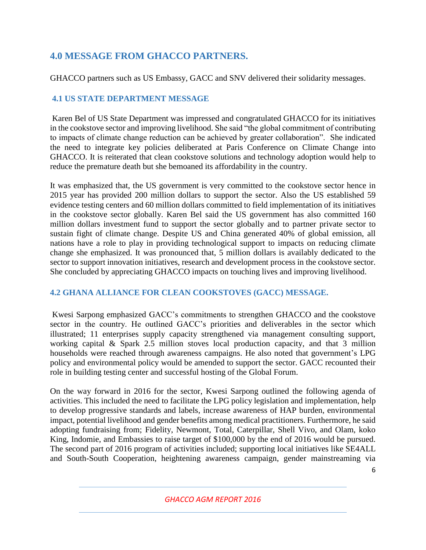## <span id="page-6-0"></span>**4.0 MESSAGE FROM GHACCO PARTNERS.**

GHACCO partners such as US Embassy, GACC and SNV delivered their solidarity messages.

## <span id="page-6-1"></span>**4.1 US STATE DEPARTMENT MESSAGE**

Karen Bel of US State Department was impressed and congratulated GHACCO for its initiatives in the cookstove sector and improving livelihood. She said "the global commitment of contributing to impacts of climate change reduction can be achieved by greater collaboration". She indicated the need to integrate key policies deliberated at Paris Conference on Climate Change into GHACCO. It is reiterated that clean cookstove solutions and technology adoption would help to reduce the premature death but she bemoaned its affordability in the country.

It was emphasized that, the US government is very committed to the cookstove sector hence in 2015 year has provided 200 million dollars to support the sector. Also the US established 59 evidence testing centers and 60 million dollars committed to field implementation of its initiatives in the cookstove sector globally. Karen Bel said the US government has also committed 160 million dollars investment fund to support the sector globally and to partner private sector to sustain fight of climate change. Despite US and China generated 40% of global emission, all nations have a role to play in providing technological support to impacts on reducing climate change she emphasized. It was pronounced that, 5 million dollars is availably dedicated to the sector to support innovation initiatives, research and development process in the cookstove sector. She concluded by appreciating GHACCO impacts on touching lives and improving livelihood.

## <span id="page-6-2"></span>**4.2 GHANA ALLIANCE FOR CLEAN COOKSTOVES (GACC) MESSAGE.**

Kwesi Sarpong emphasized GACC's commitments to strengthen GHACCO and the cookstove sector in the country. He outlined GACC's priorities and deliverables in the sector which illustrated; 11 enterprises supply capacity strengthened via management consulting support, working capital & Spark 2.5 million stoves local production capacity, and that 3 million households were reached through awareness campaigns. He also noted that government's LPG policy and environmental policy would be amended to support the sector. GACC recounted their role in building testing center and successful hosting of the Global Forum.

On the way forward in 2016 for the sector, Kwesi Sarpong outlined the following agenda of activities. This included the need to facilitate the LPG policy legislation and implementation, help to develop progressive standards and labels, increase awareness of HAP burden, environmental impact, potential livelihood and gender benefits among medical practitioners. Furthermore, he said adopting fundraising from; Fidelity, Newmont, Total, Caterpillar, Shell Vivo, and Olam, koko King, Indomie, and Embassies to raise target of \$100,000 by the end of 2016 would be pursued. The second part of 2016 program of activities included; supporting local initiatives like SE4ALL and South-South Cooperation, heightening awareness campaign, gender mainstreaming via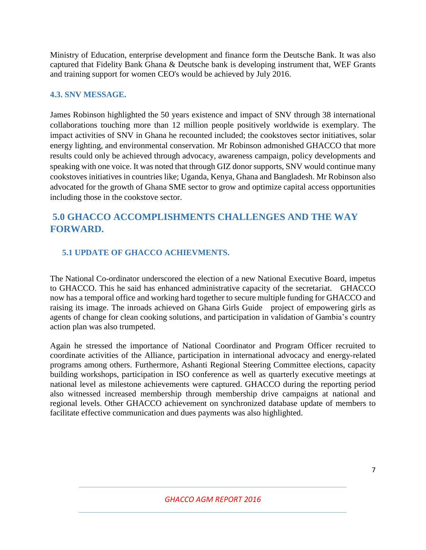Ministry of Education, enterprise development and finance form the Deutsche Bank. It was also captured that Fidelity Bank Ghana & Deutsche bank is developing instrument that, WEF Grants and training support for women CEO's would be achieved by July 2016.

#### <span id="page-7-0"></span>**4.3. SNV MESSAGE.**

James Robinson highlighted the 50 years existence and impact of SNV through 38 international collaborations touching more than 12 million people positively worldwide is exemplary. The impact activities of SNV in Ghana he recounted included; the cookstoves sector initiatives, solar energy lighting, and environmental conservation. Mr Robinson admonished GHACCO that more results could only be achieved through advocacy, awareness campaign, policy developments and speaking with one voice. It was noted that through GIZ donor supports, SNV would continue many cookstoves initiatives in countries like; Uganda, Kenya, Ghana and Bangladesh. Mr Robinson also advocated for the growth of Ghana SME sector to grow and optimize capital access opportunities including those in the cookstove sector.

## <span id="page-7-1"></span>**5.0 GHACCO ACCOMPLISHMENTS CHALLENGES AND THE WAY FORWARD.**

#### <span id="page-7-2"></span> **5.1 UPDATE OF GHACCO ACHIEVMENTS.**

The National Co-ordinator underscored the election of a new National Executive Board, impetus to GHACCO. This he said has enhanced administrative capacity of the secretariat. GHACCO now has a temporal office and working hard together to secure multiple funding for GHACCO and raising its image. The inroads achieved on Ghana Girls Guide project of empowering girls as agents of change for clean cooking solutions, and participation in validation of Gambia's country action plan was also trumpeted.

Again he stressed the importance of National Coordinator and Program Officer recruited to coordinate activities of the Alliance, participation in international advocacy and energy-related programs among others. Furthermore, Ashanti Regional Steering Committee elections, capacity building workshops, participation in ISO conference as well as quarterly executive meetings at national level as milestone achievements were captured. GHACCO during the reporting period also witnessed increased membership through membership drive campaigns at national and regional levels. Other GHACCO achievement on synchronized database update of members to facilitate effective communication and dues payments was also highlighted.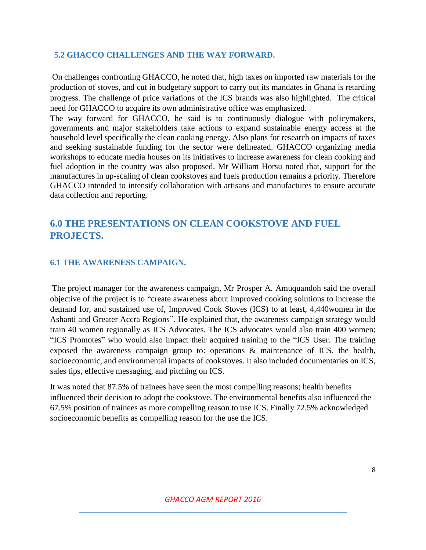#### <span id="page-8-0"></span> **5.2 GHACCO CHALLENGES AND THE WAY FORWARD.**

On challenges confronting GHACCO, he noted that, high taxes on imported raw materials for the production of stoves, and cut in budgetary support to carry out its mandates in Ghana is retarding progress. The challenge of price variations of the ICS brands was also highlighted. The critical need for GHACCO to acquire its own administrative office was emphasized.

The way forward for GHACCO, he said is to continuously dialogue with policymakers, governments and major stakeholders take actions to expand sustainable energy access at the household level specifically the clean cooking energy. Also plans for research on impacts of taxes and seeking sustainable funding for the sector were delineated. GHACCO organizing media workshops to educate media houses on its initiatives to increase awareness for clean cooking and fuel adoption in the country was also proposed. Mr William Horsu noted that, support for the manufactures in up-scaling of clean cookstoves and fuels production remains a priority. Therefore GHACCO intended to intensify collaboration with artisans and manufactures to ensure accurate data collection and reporting.

## <span id="page-8-1"></span>**6.0 THE PRESENTATIONS ON CLEAN COOKSTOVE AND FUEL PROJECTS.**

#### <span id="page-8-2"></span>**6.1 THE AWARENESS CAMPAIGN.**

The project manager for the awareness campaign, Mr Prosper A. Amuquandoh said the overall objective of the project is to "create awareness about improved cooking solutions to increase the demand for, and sustained use of, Improved Cook Stoves (ICS) to at least, 4,440women in the Ashanti and Greater Accra Regions". He explained that, the awareness campaign strategy would train 40 women regionally as ICS Advocates. The ICS advocates would also train 400 women; "ICS Promotes" who would also impact their acquired training to the "ICS User. The training exposed the awareness campaign group to: operations & maintenance of ICS, the health, socioeconomic, and environmental impacts of cookstoves. It also included documentaries on ICS, sales tips, effective messaging, and pitching on ICS.

<span id="page-8-3"></span>It was noted that 87.5% of trainees have seen the most compelling reasons; health benefits influenced their decision to adopt the cookstove. The environmental benefits also influenced the 67.5% position of trainees as more compelling reason to use ICS. Finally 72.5% acknowledged socioeconomic benefits as compelling reason for the use the ICS.

*GHACCO AGM REPORT 2016*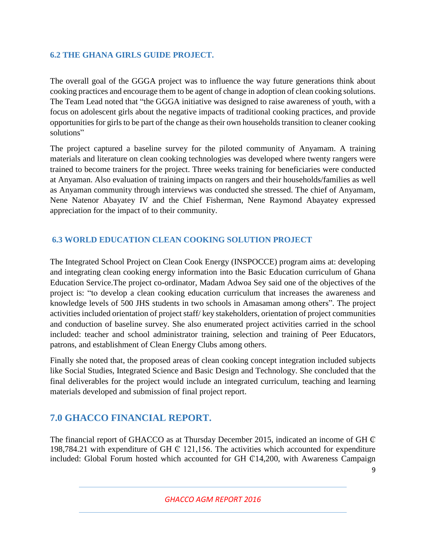#### **6.2 THE GHANA GIRLS GUIDE PROJECT.**

The overall goal of the GGGA project was to influence the way future generations think about cooking practices and encourage them to be agent of change in adoption of clean cooking solutions. The Team Lead noted that "the GGGA initiative was designed to raise awareness of youth, with a focus on adolescent girls about the negative impacts of traditional cooking practices, and provide opportunities for girls to be part of the change as their own households transition to cleaner cooking solutions"

The project captured a baseline survey for the piloted community of Anyamam. A training materials and literature on clean cooking technologies was developed where twenty rangers were trained to become trainers for the project. Three weeks training for beneficiaries were conducted at Anyaman. Also evaluation of training impacts on rangers and their households/families as well as Anyaman community through interviews was conducted she stressed. The chief of Anyamam, Nene Natenor Abayatey IV and the Chief Fisherman, Nene Raymond Abayatey expressed appreciation for the impact of to their community.

#### <span id="page-9-0"></span>**6.3 WORLD EDUCATION CLEAN COOKING SOLUTION PROJECT**

The Integrated School Project on Clean Cook Energy (INSPOCCE) program aims at: developing and integrating clean cooking energy information into the Basic Education curriculum of Ghana Education Service.The project co-ordinator, Madam Adwoa Sey said one of the objectives of the project is: "to develop a clean cooking education curriculum that increases the awareness and knowledge levels of 500 JHS students in two schools in Amasaman among others". The project activities included orientation of project staff/ key stakeholders, orientation of project communities and conduction of baseline survey. She also enumerated project activities carried in the school included: teacher and school administrator training, selection and training of Peer Educators, patrons, and establishment of Clean Energy Clubs among others.

Finally she noted that, the proposed areas of clean cooking concept integration included subjects like Social Studies, Integrated Science and Basic Design and Technology. She concluded that the final deliverables for the project would include an integrated curriculum, teaching and learning materials developed and submission of final project report.

## <span id="page-9-1"></span>**7.0 GHACCO FINANCIAL REPORT.**

The financial report of GHACCO as at Thursday December 2015, indicated an income of GH  $\mathbb C$ 198,784.21 with expenditure of GH  $\mathbb C$  121,156. The activities which accounted for expenditure included: Global Forum hosted which accounted for GH  $\textcircled{14,200}$ , with Awareness Campaign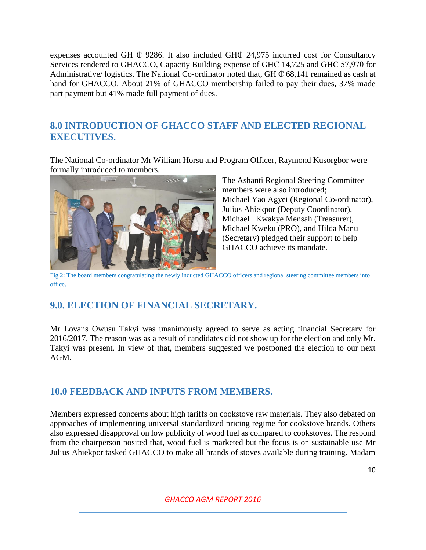expenses accounted GH  $\mathbb C$  9286. It also included GH $\mathbb C$  24,975 incurred cost for Consultancy Services rendered to GHACCO, Capacity Building expense of GH $\mathbb C$  14,725 and GH $\mathbb C$  57,970 for Administrative/ logistics. The National Co-ordinator noted that, GH  $\mathbb C$  68,141 remained as cash at hand for GHACCO. About 21% of GHACCO membership failed to pay their dues, 37% made part payment but 41% made full payment of dues.

## <span id="page-10-0"></span>**8.0 INTRODUCTION OF GHACCO STAFF AND ELECTED REGIONAL EXECUTIVES.**

The National Co-ordinator Mr William Horsu and Program Officer, Raymond Kusorgbor were formally introduced to members.

![](_page_10_Picture_3.jpeg)

The Ashanti Regional Steering Committee members were also introduced; Michael Yao Agyei (Regional Co-ordinator), Julius Ahiekpor (Deputy Coordinator), Michael Kwakye Mensah (Treasurer), Michael Kweku (PRO), and Hilda Manu (Secretary) pledged their support to help GHACCO achieve its mandate.

Fig 2: The board members congratulating the newly inducted GHACCO officers and regional steering committee members into office.

## <span id="page-10-1"></span>**9.0. ELECTION OF FINANCIAL SECRETARY.**

Mr Lovans Owusu Takyi was unanimously agreed to serve as acting financial Secretary for 2016/2017. The reason was as a result of candidates did not show up for the election and only Mr. Takyi was present. In view of that, members suggested we postponed the election to our next AGM.

## <span id="page-10-2"></span>**10.0 FEEDBACK AND INPUTS FROM MEMBERS.**

Members expressed concerns about high tariffs on cookstove raw materials. They also debated on approaches of implementing universal standardized pricing regime for cookstove brands. Others also expressed disapproval on low publicity of wood fuel as compared to cookstoves. The respond from the chairperson posited that, wood fuel is marketed but the focus is on sustainable use Mr Julius Ahiekpor tasked GHACCO to make all brands of stoves available during training. Madam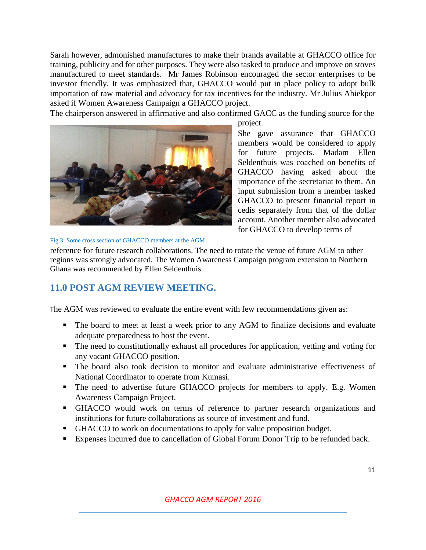Sarah however, admonished manufactures to make their brands available at GHACCO office for training, publicity and for other purposes. They were also tasked to produce and improve on stoves manufactured to meet standards. Mr James Robinson encouraged the sector enterprises to be investor friendly. It was emphasized that, GHACCO would put in place policy to adopt bulk importation of raw material and advocacy for tax incentives for the industry. Mr Julius Ahiekpor asked if Women Awareness Campaign a GHACCO project.

The chairperson answered in affirmative and also confirmed GACC as the funding source for the

![](_page_11_Picture_2.jpeg)

She gave assurance that GHACCO members would be considered to apply for future projects. Madam Ellen Seldenthuis was coached on benefits of GHACCO having asked about the importance of the secretariat to them. An input submission from a member tasked GHACCO to present financial report in cedis separately from that of the dollar account. Another member also advocated for GHACCO to develop terms of

Fig 3: Some cross section of GHACCO members at the AGM.

reference for future research collaborations. The need to rotate the venue of future AGM to other regions was strongly advocated. The Women Awareness Campaign program extension to Northern Ghana was recommended by Ellen Seldenthuis.

## <span id="page-11-0"></span>**11.0 POST AGM REVIEW MEETING.**

The AGM was reviewed to evaluate the entire event with few recommendations given as:

- The board to meet at least a week prior to any AGM to finalize decisions and evaluate adequate preparedness to host the event.
- The need to constitutionally exhaust all procedures for application, vetting and voting for any vacant GHACCO position.
- The board also took decision to monitor and evaluate administrative effectiveness of National Coordinator to operate from Kumasi.
- The need to advertise future GHACCO projects for members to apply. E.g. Women Awareness Campaign Project.
- GHACCO would work on terms of reference to partner research organizations and institutions for future collaborations as source of investment and fund.
- GHACCO to work on documentations to apply for value proposition budget.
- Expenses incurred due to cancellation of Global Forum Donor Trip to be refunded back.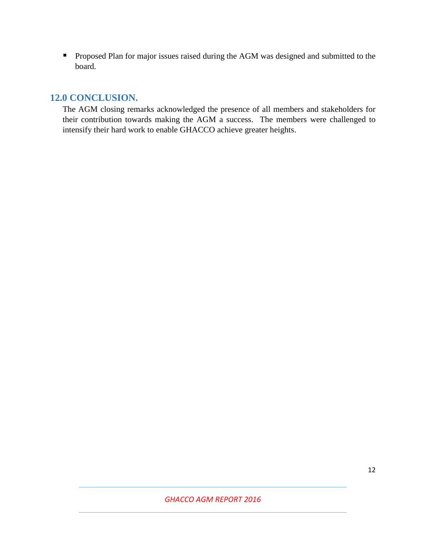**•** Proposed Plan for major issues raised during the AGM was designed and submitted to the board.

### **12.0 CONCLUSION.**

The AGM closing remarks acknowledged the presence of all members and stakeholders for their contribution towards making the AGM a success. The members were challenged to intensify their hard work to enable GHACCO achieve greater heights.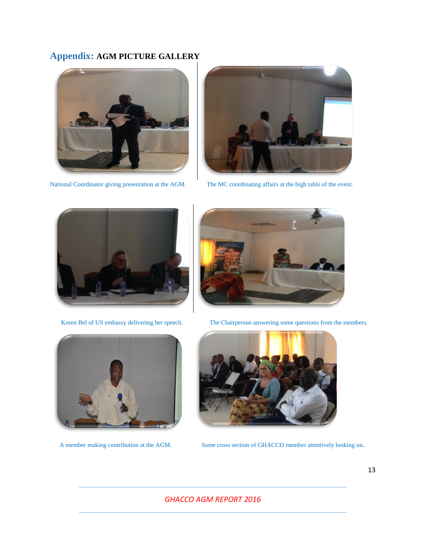## **Appendix: AGM PICTURE GALLERY**

![](_page_13_Picture_1.jpeg)

National Coordinator giving presentation at the AGM. The MC coordinating affairs at the high table of the event.

![](_page_13_Picture_3.jpeg)

![](_page_13_Picture_5.jpeg)

![](_page_13_Picture_7.jpeg)

Koren Bel of US embassy delivering her speech. The Chairperson answering some questions from the members.

![](_page_13_Picture_9.jpeg)

![](_page_13_Picture_11.jpeg)

A member making contribution at the AGM. Some cross section of GHACCO member attentively looking on.

#### *GHACCO AGM REPORT 2016*